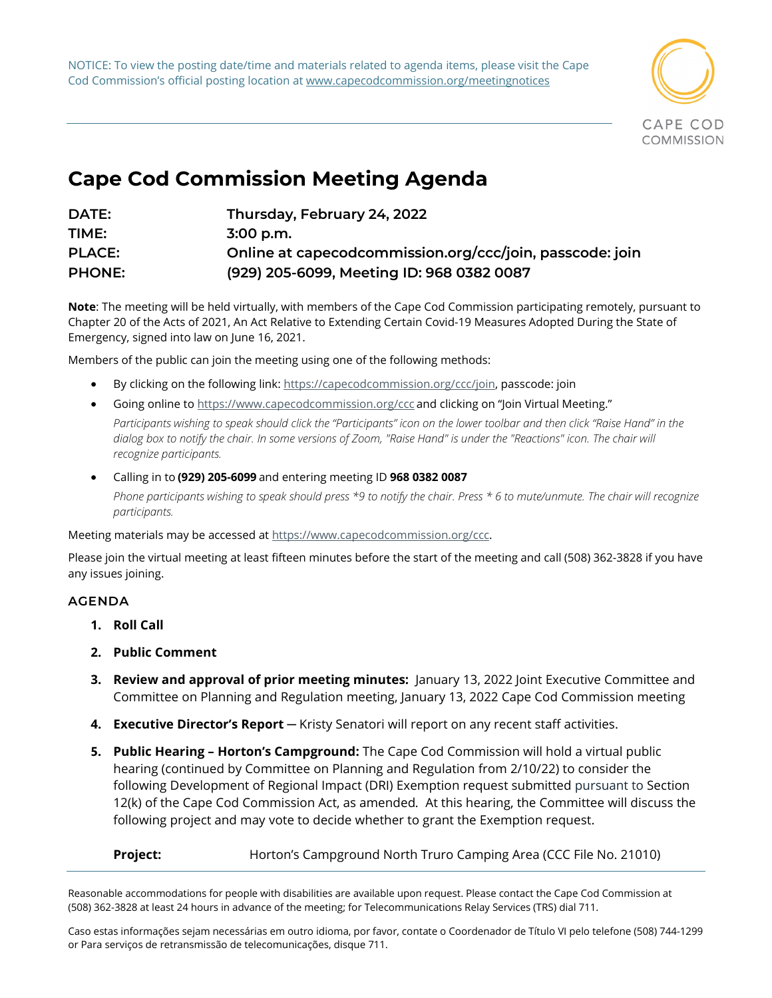NOTICE: To view the posting date/time and materials related to agenda items, please visit the Cape Cod Commission's official posting location at www.capecodcommission.org/meetingnotices



## **Cape Cod Commission Meeting Agenda**

| DATE:         | Thursday, February 24, 2022                              |
|---------------|----------------------------------------------------------|
| TIME:         | $3:00$ p.m.                                              |
| <b>PLACE:</b> | Online at capecodcommission.org/ccc/join, passcode: join |
| <b>PHONE:</b> | (929) 205-6099, Meeting ID: 968 0382 0087                |

**Note**: The meeting will be held virtually, with members of the Cape Cod Commission participating remotely, pursuant to Chapter 20 of the Acts of 2021, An Act Relative to Extending Certain Covid-19 Measures Adopted During the State of Emergency, signed into law on June 16, 2021.

Members of the public can join the meeting using one of the following methods:   

- By clicking on the following link: [https://capecodcommission.org/ccc/join,](https://capecodcommission.org/ccc/join) passcode: join
- Going online t[o https://www.capecodcommission.org/ccc](https://www.capecodcommission.org/ccc) and clicking on "Join Virtual Meeting." Participants wishing to speak should click the "Participants" icon on the lower toolbar and then click "Raise Hand" in the dialog box to notify the chair. In some versions of Zoom, "Raise Hand" is under the "Reactions" icon. The chair will
- *recognize participants.* • Calling in to **(929) 205-6099** and entering meeting ID **968 0382 0087** *Phone participants wishing to speak should press \*9 to notify the chair. Press \* 6 to mute/unmute. The chair will recognize participants.*

Meeting materials may be accessed a[t https://www.capecodcommission.org/ccc.](https://www.capecodcommission.org/ccc)

Please join the virtual meeting at least fifteen minutes before the start of the meeting and call (508) 362-3828 if you have any issues joining.  

## **AGENDA**

- **1. Roll Call**
- **2. Public Comment**
- **3. Review and approval of prior meeting minutes:** January 13, 2022 Joint Executive Committee and Committee on Planning and Regulation meeting, January 13, 2022 Cape Cod Commission meeting
- **4. Executive Director's Report** ─ Kristy Senatori will report on any recent staff activities.
- **5. Public Hearing – Horton's Campground:** The Cape Cod Commission will hold a virtual public hearing (continued by Committee on Planning and Regulation from 2/10/22) to consider the following Development of Regional Impact (DRI) Exemption request submitted pursuant to Section 12(k) of the Cape Cod Commission Act, as amended*.* At this hearing, the Committee will discuss the following project and may vote to decide whether to grant the Exemption request.

**Project:** Horton's Campground North Truro Camping Area (CCC File No. 21010)

Reasonable accommodations for people with disabilities are available upon request. Please contact the Cape Cod Commission at (508) 362-3828 at least 24 hours in advance of the meeting; for Telecommunications Relay Services (TRS) dial 711.

Caso estas informações sejam necessárias em outro idioma, por favor, contate o Coordenador de Título VI pelo telefone (508) 744-1299 or Para serviços de retransmissão de telecomunicações, disque 711.